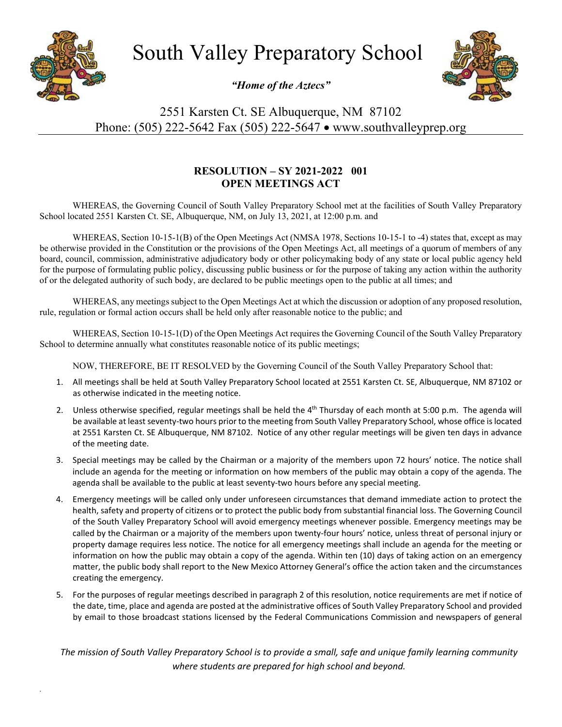

*.*

South Valley Preparatory School

*"Home of the Aztecs"*



2551 Karsten Ct. SE Albuquerque, NM 87102 Phone: (505) 222-5642 Fax (505) 222-5647 • www.southvalleyprep.org

## **RESOLUTION – SY 2021-2022 001 OPEN MEETINGS ACT**

WHEREAS, the Governing Council of South Valley Preparatory School met at the facilities of South Valley Preparatory School located 2551 Karsten Ct. SE, Albuquerque, NM, on July 13, 2021, at 12:00 p.m. and

WHEREAS, Section 10-15-1(B) of the Open Meetings Act (NMSA 1978, Sections 10-15-1 to -4) states that, except as may be otherwise provided in the Constitution or the provisions of the Open Meetings Act, all meetings of a quorum of members of any board, council, commission, administrative adjudicatory body or other policymaking body of any state or local public agency held for the purpose of formulating public policy, discussing public business or for the purpose of taking any action within the authority of or the delegated authority of such body, are declared to be public meetings open to the public at all times; and

WHEREAS, any meetings subject to the Open Meetings Act at which the discussion or adoption of any proposed resolution, rule, regulation or formal action occurs shall be held only after reasonable notice to the public; and

WHEREAS, Section 10-15-1(D) of the Open Meetings Act requires the Governing Council of the South Valley Preparatory School to determine annually what constitutes reasonable notice of its public meetings;

NOW, THEREFORE, BE IT RESOLVED by the Governing Council of the South Valley Preparatory School that:

- 1. All meetings shall be held at South Valley Preparatory School located at 2551 Karsten Ct. SE, Albuquerque, NM 87102 or as otherwise indicated in the meeting notice.
- 2. Unless otherwise specified, regular meetings shall be held the 4<sup>th</sup> Thursday of each month at 5:00 p.m. The agenda will be available at least seventy-two hours prior to the meeting from South Valley Preparatory School, whose office is located at 2551 Karsten Ct. SE Albuquerque, NM 87102. Notice of any other regular meetings will be given ten days in advance of the meeting date.
- 3. Special meetings may be called by the Chairman or a majority of the members upon 72 hours' notice. The notice shall include an agenda for the meeting or information on how members of the public may obtain a copy of the agenda. The agenda shall be available to the public at least seventy-two hours before any special meeting.
- 4. Emergency meetings will be called only under unforeseen circumstances that demand immediate action to protect the health, safety and property of citizens or to protect the public body from substantial financial loss. The Governing Council of the South Valley Preparatory School will avoid emergency meetings whenever possible. Emergency meetings may be called by the Chairman or a majority of the members upon twenty-four hours' notice, unless threat of personal injury or property damage requires less notice. The notice for all emergency meetings shall include an agenda for the meeting or information on how the public may obtain a copy of the agenda. Within ten (10) days of taking action on an emergency matter, the public body shall report to the New Mexico Attorney General's office the action taken and the circumstances creating the emergency.
- 5. For the purposes of regular meetings described in paragraph 2 of this resolution, notice requirements are met if notice of the date, time, place and agenda are posted at the administrative offices of South Valley Preparatory School and provided by email to those broadcast stations licensed by the Federal Communications Commission and newspapers of general

*The mission of South Valley Preparatory School is to provide a small, safe and unique family learning community where students are prepared for high school and beyond.*